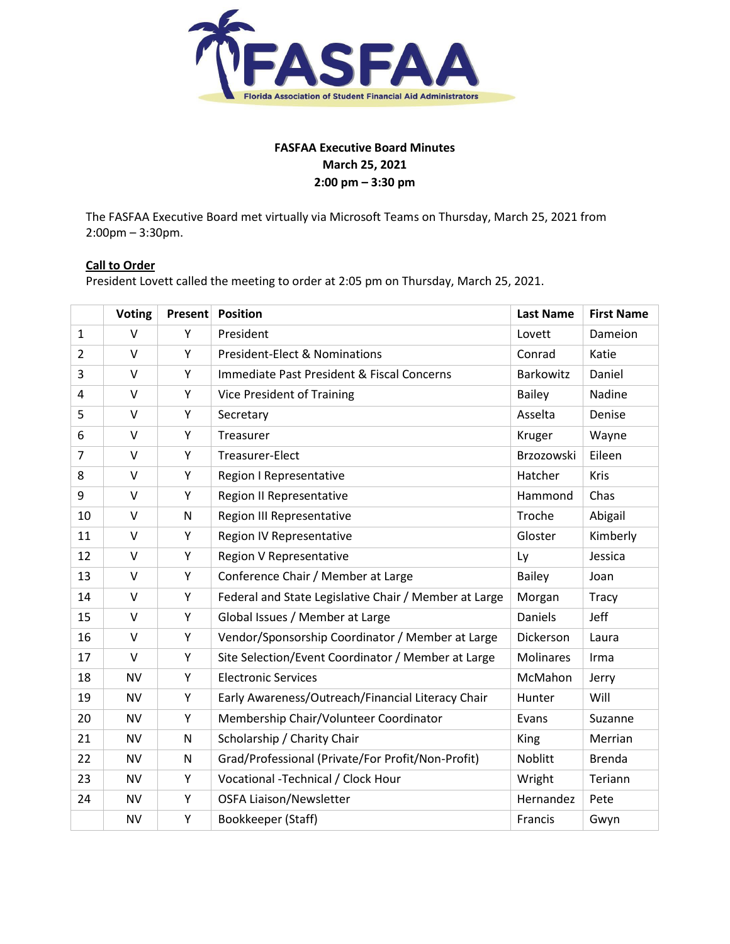

# **FASFAA Executive Board Minutes March 25, 2021 2:00 pm – 3:30 pm**

The FASFAA Executive Board met virtually via Microsoft Teams on Thursday, March 25, 2021 from 2:00pm – 3:30pm.

# **Call to Order**

President Lovett called the meeting to order at 2:05 pm on Thursday, March 25, 2021.

|                | <b>Voting</b> | Present | <b>Position</b>                                       | <b>Last Name</b> | <b>First Name</b> |
|----------------|---------------|---------|-------------------------------------------------------|------------------|-------------------|
| $\mathbf{1}$   | $\vee$        | Υ       | President                                             | Lovett           | Dameion           |
| $\overline{2}$ | $\vee$        | Y       | <b>President-Elect &amp; Nominations</b>              | Conrad           | Katie             |
| 3              | $\vee$        | Υ       | Immediate Past President & Fiscal Concerns            | Barkowitz        | Daniel            |
| 4              | $\vee$        | Υ       | Vice President of Training                            | <b>Bailey</b>    | Nadine            |
| 5              | $\vee$        | Υ       | Secretary                                             | Asselta          | Denise            |
| 6              | $\vee$        | Υ       | Treasurer                                             | Kruger           | Wayne             |
| $\overline{7}$ | $\vee$        | Y       | Treasurer-Elect                                       | Brzozowski       | Eileen            |
| 8              | V             | Y       | <b>Region I Representative</b>                        | Hatcher          | Kris              |
| 9              | $\vee$        | Υ       | <b>Region II Representative</b>                       | Hammond          | Chas              |
| 10             | $\vee$        | N       | <b>Region III Representative</b>                      | Troche           | Abigail           |
| 11             | $\vee$        | Υ       | <b>Region IV Representative</b>                       | Gloster          | Kimberly          |
| 12             | $\vee$        | Υ       | Region V Representative                               | Ly               | Jessica           |
| 13             | $\vee$        | Y       | Conference Chair / Member at Large                    | <b>Bailey</b>    | Joan              |
| 14             | $\vee$        | Υ       | Federal and State Legislative Chair / Member at Large | Morgan           | <b>Tracy</b>      |
| 15             | $\vee$        | Υ       | Global Issues / Member at Large                       | Daniels          | Jeff              |
| 16             | $\vee$        | Υ       | Vendor/Sponsorship Coordinator / Member at Large      | Dickerson        | Laura             |
| 17             | V             | Y       | Site Selection/Event Coordinator / Member at Large    | <b>Molinares</b> | Irma              |
| 18             | <b>NV</b>     | Y       | <b>Electronic Services</b>                            | McMahon          | Jerry             |
| 19             | <b>NV</b>     | Υ       | Early Awareness/Outreach/Financial Literacy Chair     | Hunter           | Will              |
| 20             | <b>NV</b>     | Υ       | Membership Chair/Volunteer Coordinator                | Evans            | Suzanne           |
| 21             | <b>NV</b>     | N       | Scholarship / Charity Chair                           | King             | Merrian           |
| 22             | <b>NV</b>     | N       | Grad/Professional (Private/For Profit/Non-Profit)     | Noblitt          | <b>Brenda</b>     |
| 23             | <b>NV</b>     | Y       | Vocational -Technical / Clock Hour                    | Wright           | Teriann           |
| 24             | <b>NV</b>     | Υ       | <b>OSFA Liaison/Newsletter</b>                        | Hernandez        | Pete              |
|                | <b>NV</b>     | Υ       | Bookkeeper (Staff)                                    | Francis          | Gwyn              |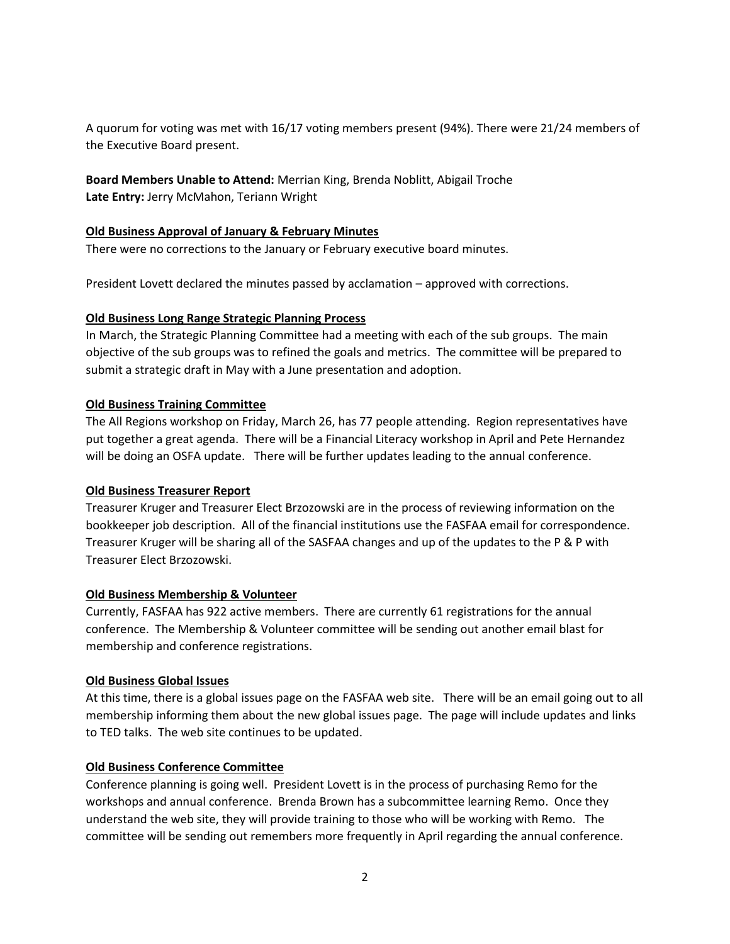A quorum for voting was met with 16/17 voting members present (94%). There were 21/24 members of the Executive Board present.

**Board Members Unable to Attend:** Merrian King, Brenda Noblitt, Abigail Troche **Late Entry:** Jerry McMahon, Teriann Wright

### **Old Business Approval of January & February Minutes**

There were no corrections to the January or February executive board minutes.

President Lovett declared the minutes passed by acclamation – approved with corrections.

### **Old Business Long Range Strategic Planning Process**

In March, the Strategic Planning Committee had a meeting with each of the sub groups. The main objective of the sub groups was to refined the goals and metrics. The committee will be prepared to submit a strategic draft in May with a June presentation and adoption.

### **Old Business Training Committee**

The All Regions workshop on Friday, March 26, has 77 people attending. Region representatives have put together a great agenda. There will be a Financial Literacy workshop in April and Pete Hernandez will be doing an OSFA update. There will be further updates leading to the annual conference.

#### **Old Business Treasurer Report**

Treasurer Kruger and Treasurer Elect Brzozowski are in the process of reviewing information on the bookkeeper job description. All of the financial institutions use the FASFAA email for correspondence. Treasurer Kruger will be sharing all of the SASFAA changes and up of the updates to the P & P with Treasurer Elect Brzozowski.

#### **Old Business Membership & Volunteer**

Currently, FASFAA has 922 active members. There are currently 61 registrations for the annual conference. The Membership & Volunteer committee will be sending out another email blast for membership and conference registrations.

#### **Old Business Global Issues**

At this time, there is a global issues page on the FASFAA web site. There will be an email going out to all membership informing them about the new global issues page. The page will include updates and links to TED talks. The web site continues to be updated.

# **Old Business Conference Committee**

Conference planning is going well. President Lovett is in the process of purchasing Remo for the workshops and annual conference. Brenda Brown has a subcommittee learning Remo. Once they understand the web site, they will provide training to those who will be working with Remo. The committee will be sending out remembers more frequently in April regarding the annual conference.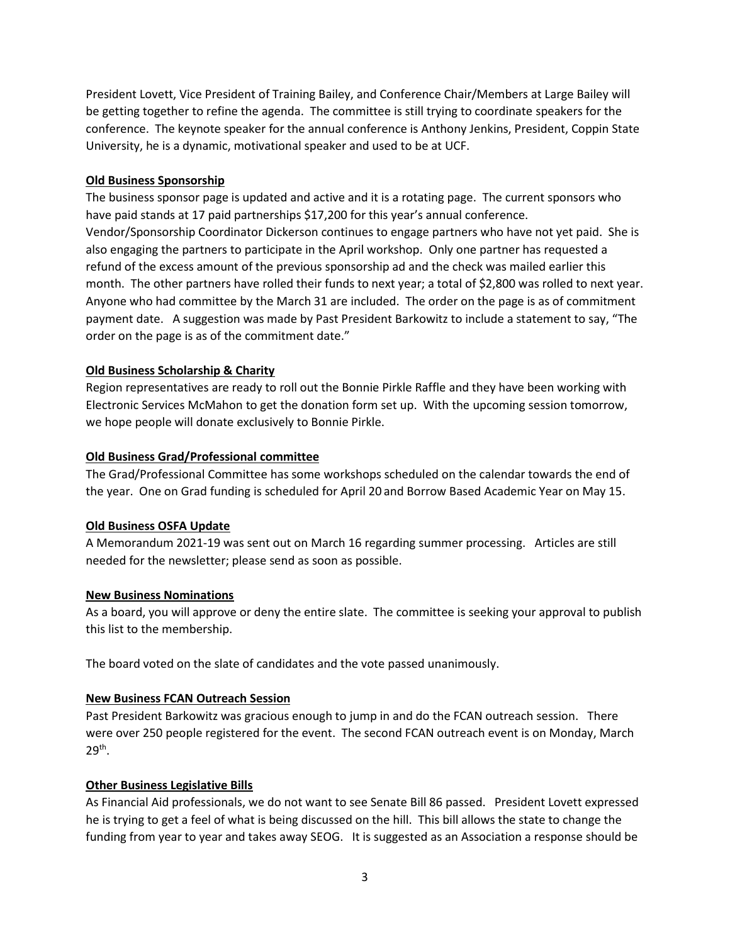President Lovett, Vice President of Training Bailey, and Conference Chair/Members at Large Bailey will be getting together to refine the agenda. The committee is still trying to coordinate speakers for the conference. The keynote speaker for the annual conference is Anthony Jenkins, President, Coppin State University, he is a dynamic, motivational speaker and used to be at UCF.

# **Old Business Sponsorship**

The business sponsor page is updated and active and it is a rotating page. The current sponsors who have paid stands at 17 paid partnerships \$17,200 for this year's annual conference. Vendor/Sponsorship Coordinator Dickerson continues to engage partners who have not yet paid. She is also engaging the partners to participate in the April workshop. Only one partner has requested a refund of the excess amount of the previous sponsorship ad and the check was mailed earlier this month. The other partners have rolled their funds to next year; a total of \$2,800 was rolled to next year. Anyone who had committee by the March 31 are included. The order on the page is as of commitment payment date. A suggestion was made by Past President Barkowitz to include a statement to say, "The order on the page is as of the commitment date."

# **Old Business Scholarship & Charity**

Region representatives are ready to roll out the Bonnie Pirkle Raffle and they have been working with Electronic Services McMahon to get the donation form set up. With the upcoming session tomorrow, we hope people will donate exclusively to Bonnie Pirkle.

### **Old Business Grad/Professional committee**

The Grad/Professional Committee has some workshops scheduled on the calendar towards the end of the year. One on Grad funding is scheduled for April 20 and Borrow Based Academic Year on May 15.

#### **Old Business OSFA Update**

A Memorandum 2021-19 was sent out on March 16 regarding summer processing. Articles are still needed for the newsletter; please send as soon as possible.

#### **New Business Nominations**

As a board, you will approve or deny the entire slate. The committee is seeking your approval to publish this list to the membership.

The board voted on the slate of candidates and the vote passed unanimously.

# **New Business FCAN Outreach Session**

Past President Barkowitz was gracious enough to jump in and do the FCAN outreach session. There were over 250 people registered for the event. The second FCAN outreach event is on Monday, March 29th .

#### **Other Business Legislative Bills**

As Financial Aid professionals, we do not want to see Senate Bill 86 passed. President Lovett expressed he is trying to get a feel of what is being discussed on the hill. This bill allows the state to change the funding from year to year and takes away SEOG. It is suggested as an Association a response should be